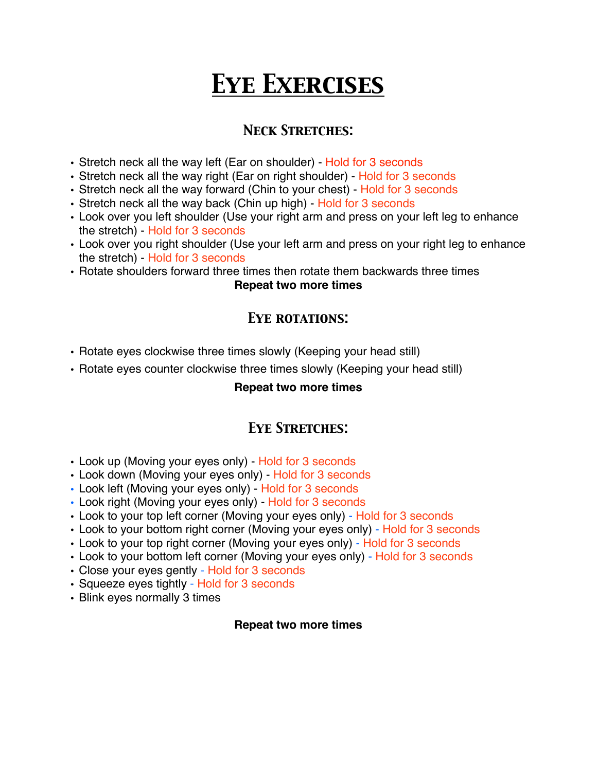# *Eye Exercises*

# *Neck Stretches:*

- Stretch neck all the way left (Ear on shoulder) Hold for 3 seconds
- Stretch neck all the way right (Ear on right shoulder) Hold for 3 seconds
- Stretch neck all the way forward (Chin to your chest) Hold for 3 seconds
- Stretch neck all the way back (Chin up high) Hold for 3 seconds
- Look over you left shoulder (Use your right arm and press on your left leg to enhance the stretch) - Hold for 3 seconds
- Look over you right shoulder (Use your left arm and press on your right leg to enhance the stretch) - Hold for 3 seconds
- Rotate shoulders forward three times then rotate them backwards three times

**Repeat two more times**

## *Eye rotations:*

- Rotate eyes clockwise three times slowly (Keeping your head still)
- Rotate eyes counter clockwise three times slowly (Keeping your head still)

#### **Repeat two more times**

## *Eye Stretches:*

- Look up (Moving your eyes only) Hold for 3 seconds
- Look down (Moving your eyes only) Hold for 3 seconds
- Look left (Moving your eyes only) Hold for 3 seconds
- Look right (Moving your eyes only) Hold for 3 seconds
- Look to your top left corner (Moving your eyes only) Hold for 3 seconds
- Look to your bottom right corner (Moving your eyes only) Hold for 3 seconds
- Look to your top right corner (Moving your eyes only) Hold for 3 seconds
- Look to your bottom left corner (Moving your eyes only) Hold for 3 seconds
- Close your eyes gently Hold for 3 seconds
- Squeeze eyes tightly Hold for 3 seconds
- Blink eyes normally 3 times

#### **Repeat two more times**